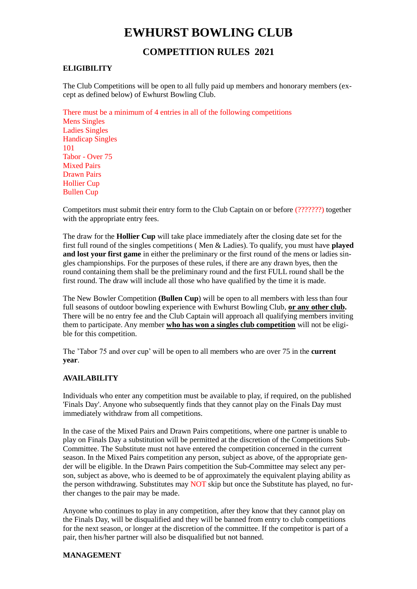# **EWHURST BOWLING CLUB**

## **COMPETITION RULES 2021**

## **ELIGIBILITY**

The Club Competitions will be open to all fully paid up members and honorary members (except as defined below) of Ewhurst Bowling Club.

There must be a minimum of 4 entries in all of the following competitions Mens Singles Ladies Singles Handicap Singles 101 Tabor - Over 75 Mixed Pairs Drawn Pairs Hollier Cup Bullen Cup

Competitors must submit their entry form to the Club Captain on or before (???????) together with the appropriate entry fees.

The draw for the **Hollier Cup** will take place immediately after the closing date set for the first full round of the singles competitions ( Men & Ladies). To qualify, you must have **played and lost your first game** in either the preliminary or the first round of the mens or ladies singles championships. For the purposes of these rules, if there are any drawn byes, then the round containing them shall be the preliminary round and the first FULL round shall be the first round. The draw will include all those who have qualified by the time it is made.

The New Bowler Competition **(Bullen Cup**) will be open to all members with less than four full seasons of outdoor bowling experience with Ewhurst Bowling Club, **or any other club.** There will be no entry fee and the Club Captain will approach all qualifying members inviting them to participate. Any member **who has won a singles club competition** will not be eligible for this competition.

The 'Tabor 75 and over cup' will be open to all members who are over 75 in the **current year**.

#### **AVAILABILITY**

Individuals who enter any competition must be available to play, if required, on the published 'Finals Day'. Anyone who subsequently finds that they cannot play on the Finals Day must immediately withdraw from all competitions.

In the case of the Mixed Pairs and Drawn Pairs competitions, where one partner is unable to play on Finals Day a substitution will be permitted at the discretion of the Competitions Sub-Committee. The Substitute must not have entered the competition concerned in the current season. In the Mixed Pairs competition any person, subject as above, of the appropriate gender will be eligible. In the Drawn Pairs competition the Sub-Committee may select any person, subject as above, who is deemed to be of approximately the equivalent playing ability as the person withdrawing. Substitutes may NOT skip but once the Substitute has played, no further changes to the pair may be made.

Anyone who continues to play in any competition, after they know that they cannot play on the Finals Day, will be disqualified and they will be banned from entry to club competitions for the next season, or longer at the discretion of the committee. If the competitor is part of a pair, then his/her partner will also be disqualified but not banned.

#### **MANAGEMENT**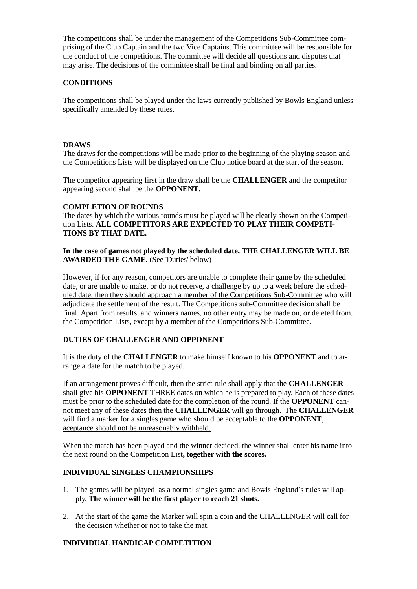The competitions shall be under the management of the Competitions Sub-Committee comprising of the Club Captain and the two Vice Captains. This committee will be responsible for the conduct of the competitions. The committee will decide all questions and disputes that may arise. The decisions of the committee shall be final and binding on all parties.

### **CONDITIONS**

The competitions shall be played under the laws currently published by Bowls England unless specifically amended by these rules.

## **DRAWS**

The draws for the competitions will be made prior to the beginning of the playing season and the Competitions Lists will be displayed on the Club notice board at the start of the season.

The competitor appearing first in the draw shall be the **CHALLENGER** and the competitor appearing second shall be the **OPPONENT**.

## **COMPLETION OF ROUNDS**

The dates by which the various rounds must be played will be clearly shown on the Competition Lists. **ALL COMPETITORS ARE EXPECTED TO PLAY THEIR COMPETI-TIONS BY THAT DATE.**

**In the case of games not played by the scheduled date, THE CHALLENGER WILL BE AWARDED THE GAME.** (See 'Duties' below)

However, if for any reason, competitors are unable to complete their game by the scheduled date, or are unable to make, or do not receive, a challenge by up to a week before the scheduled date, then they should approach a member of the Competitions Sub-Committee who will adjudicate the settlement of the result. The Competitions sub-Committee decision shall be final. Apart from results, and winners names, no other entry may be made on, or deleted from, the Competition Lists, except by a member of the Competitions Sub-Committee.

## **DUTIES OF CHALLENGER AND OPPONENT**

It is the duty of the **CHALLENGER** to make himself known to his **OPPONENT** and to arrange a date for the match to be played.

If an arrangement proves difficult, then the strict rule shall apply that the **CHALLENGER** shall give his **OPPONENT** THREE dates on which he is prepared to play. Each of these dates must be prior to the scheduled date for the completion of the round. If the **OPPONENT** cannot meet any of these dates then the **CHALLENGER** will go through. The **CHALLENGER** will find a marker for a singles game who should be acceptable to the **OPPONENT**, aceptance should not be unreasonably withheld.

When the match has been played and the winner decided, the winner shall enter his name into the next round on the Competition List**, together with the scores.**

## **INDIVIDUAL SINGLES CHAMPIONSHIPS**

- 1. The games will be played as a normal singles game and Bowls England's rules will apply. **The winner will be the first player to reach 21 shots.**
- 2. At the start of the game the Marker will spin a coin and the CHALLENGER will call for the decision whether or not to take the mat.

## **INDIVIDUAL HANDICAP COMPETITION**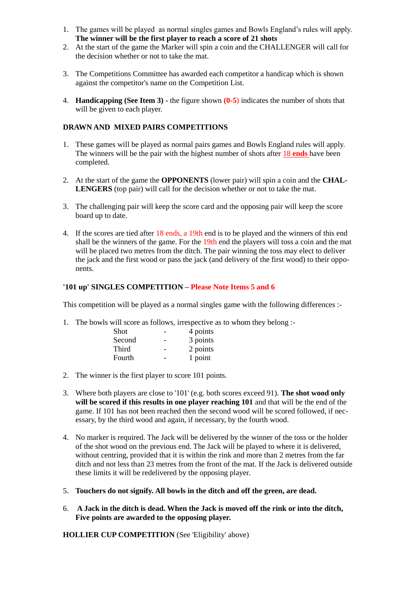- 1. The games will be played as normal singles games and Bowls England's rules will apply. **The winner will be the first player to reach a score of 21 shots**
- 2. At the start of the game the Marker will spin a coin and the CHALLENGER will call for the decision whether or not to take the mat.
- 3. The Competitions Committee has awarded each competitor a handicap which is shown against the competitor's name on the Competition List.
- 4. **Handicapping (See Item 3) -** the figure shown **(0-5**) indicates the number of shots that will be given to each player.

## **DRAWN AND MIXED PAIRS COMPETITIONS**

- 1. These games will be played as normal pairs games and Bowls England rules will apply. The winners will be the pair with the highest number of shots after 18 **ends** have been completed.
- 2. At the start of the game the **OPPONENTS** (lower pair) will spin a coin and the **CHAL-LENGERS** (top pair) will call for the decision whether or not to take the mat.
- 3. The challenging pair will keep the score card and the opposing pair will keep the score board up to date.
- 4. If the scores are tied after 18 ends, a 19th end is to be played and the winners of this end shall be the winners of the game. For the 19th end the players will toss a coin and the mat will be placed two metres from the ditch. The pair winning the toss may elect to deliver the jack and the first wood or pass the jack (and delivery of the first wood) to their opponents.

## **'101 up' SINGLES COMPETITION – Please Note Items 5 and 6**

This competition will be played as a normal singles game with the following differences :-

1. The bowls will score as follows, irrespective as to whom they belong :-

| Shot   | 4 points |
|--------|----------|
| Second | 3 points |
| Third  | 2 points |
| Fourth | 1 point  |

- 2. The winner is the first player to score 101 points.
- 3. Where both players are close to '101' (e.g. both scores exceed 91). **The shot wood only will be scored if this results in one player reaching 101** and that will be the end of the game. If 101 has not been reached then the second wood will be scored followed, if necessary, by the third wood and again, if necessary, by the fourth wood.
- 4. No marker is required. The Jack will be delivered by the winner of the toss or the holder of the shot wood on the previous end. The Jack will be played to where it is delivered, without centring, provided that it is within the rink and more than 2 metres from the far ditch and not less than 23 metres from the front of the mat. If the Jack is delivered outside these limits it will be redelivered by the opposing player.
- 5. **Touchers do not signify. All bowls in the ditch and off the green, are dead.**
- 6. **A Jack in the ditch is dead. When the Jack is moved off the rink or into the ditch, Five points are awarded to the opposing player.**

**HOLLIER CUP COMPETITION** (See 'Eligibility' above)